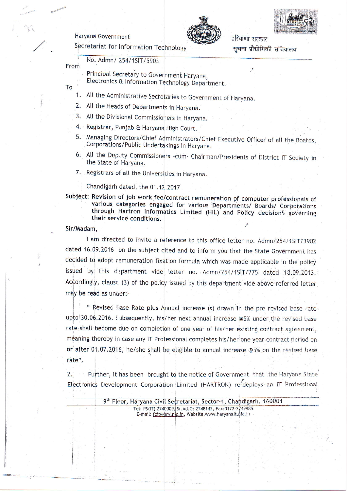Haryana Government





हरियाणा सरकार सचना प्रौद्योगिकी सचिवालय

Secretariat for Information Technology

No. Admn/ 254/1SIT/5903 From

PrincipaI Secretary to Government Haryana,

Electronics & Information Technology Department.

To

- 1. Att the Administrative Secretaries to Government of Haryana.
- 2. All the Heads of Departments in Haryana.
- 3. Att the Divisional Commissioners in Haryana.
- 4. Registrar, Punjab & Haryana High Court.
- 5. Managing Directors/Chief Administrators/Chief Executive Officer of all the Boards, Corporations/Public Undertakings in Haryana.
- 6. All the Deputy Commissioners -cum- Chairman/Presidents of District IT Society in the State of Haryana.
- 7. Registrars of all the Universities in Haryana.

Chandigarh dated, the 01.12.2017

Subject: Revision of job work fee/contract remuneration of computer professionals of<br>various categories engaged for various Departments/ Boards/ Corporations<br>through Hartron Informatics Limited (HIL) and Policy decisions g their service conditions.

## Sir/Madam,

I am directed to invite a reference to this office letter no. Admn/254/1SIT/3902 dated 16.09.2016 on the subject cited and to inform you that the State Government has decided to adopt remuneration fixation formula which was made applicable in the policy issued by this department vide letter no. Admn/254/1SIT/775 dated 18.09.2013. Accordingly, claust (3) of the policy issued by this department vide above referred letter may be read as under:-

" Revised Base Rate plus Annual increase (s) drawn in the pre revised base rate upto 30.06.2016. Iubsequently, his/her next annual increase @5% under the revised base rate shall become due on completion of one year of his/her existing contract agreement, meaning thereby in case any IT Professional completes his/her one year contract period on or after 01.07.2016, he/she shall be eligible to annual increase @5% on the revised base rate".

2. Further, It has been brought to the notice of Government that the Haryana State Electronics Development Corporation Limited (HARTRON) re-deploys an IT Professional

| 9th Floor, Haryana Civil Secretariat, Sector-1, Chandigarh, 160001 |  |
|--------------------------------------------------------------------|--|
| Tel: PS(IT) 2740009, Sr.Ad.O: 2748142, Fax:0172-2749985            |  |
| E-mail: fcit@hry.nic.in, Website.www.haryanait.nic.in              |  |